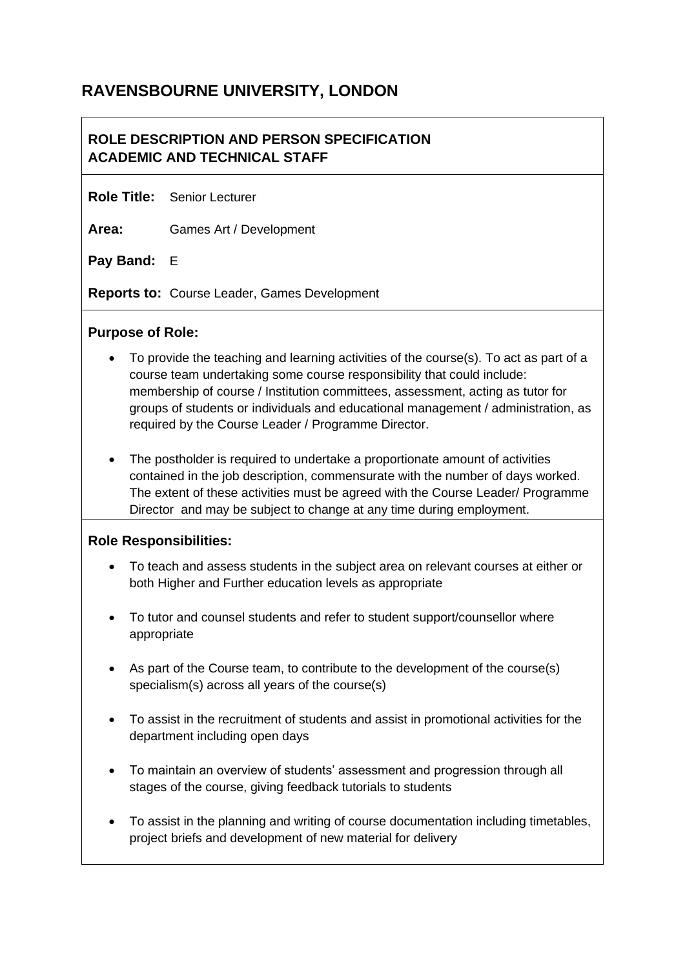# **RAVENSBOURNE UNIVERSITY, LONDON**

## **ROLE DESCRIPTION AND PERSON SPECIFICATION ACADEMIC AND TECHNICAL STAFF**

**Role Title:** Senior Lecturer

**Area:** Games Art / Development

**Pay Band:** E

**Reports to:** Course Leader, Games Development

#### **Purpose of Role:**

- To provide the teaching and learning activities of the course(s). To act as part of a course team undertaking some course responsibility that could include: membership of course / Institution committees, assessment, acting as tutor for groups of students or individuals and educational management / administration, as required by the Course Leader / Programme Director.
- The postholder is required to undertake a proportionate amount of activities contained in the job description, commensurate with the number of days worked. The extent of these activities must be agreed with the Course Leader/ Programme Director and may be subject to change at any time during employment.

#### **Role Responsibilities:**

- To teach and assess students in the subject area on relevant courses at either or both Higher and Further education levels as appropriate
- To tutor and counsel students and refer to student support/counsellor where appropriate
- As part of the Course team, to contribute to the development of the course(s) specialism(s) across all years of the course(s)
- To assist in the recruitment of students and assist in promotional activities for the department including open days
- To maintain an overview of students' assessment and progression through all stages of the course, giving feedback tutorials to students
- To assist in the planning and writing of course documentation including timetables, project briefs and development of new material for delivery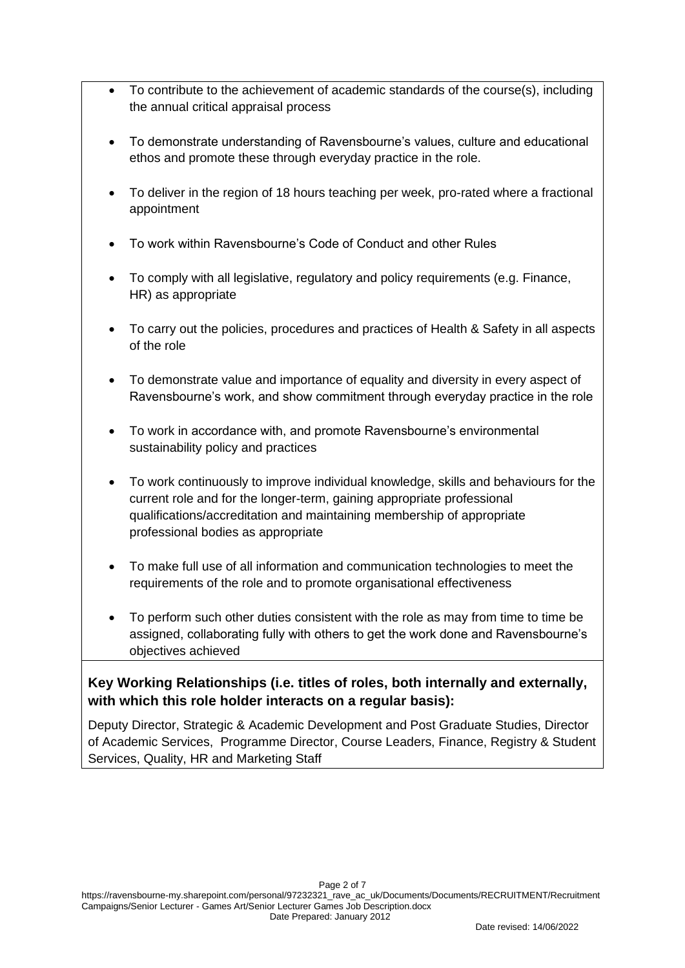- To contribute to the achievement of academic standards of the course(s), including the annual critical appraisal process
- To demonstrate understanding of Ravensbourne's values, culture and educational ethos and promote these through everyday practice in the role.
- To deliver in the region of 18 hours teaching per week, pro-rated where a fractional appointment
- To work within Ravensbourne's Code of Conduct and other Rules
- To comply with all legislative, regulatory and policy requirements (e.g. Finance, HR) as appropriate
- To carry out the policies, procedures and practices of Health & Safety in all aspects of the role
- To demonstrate value and importance of equality and diversity in every aspect of Ravensbourne's work, and show commitment through everyday practice in the role
- To work in accordance with, and promote Ravensbourne's environmental sustainability policy and practices
- To work continuously to improve individual knowledge, skills and behaviours for the current role and for the longer-term, gaining appropriate professional qualifications/accreditation and maintaining membership of appropriate professional bodies as appropriate
- To make full use of all information and communication technologies to meet the requirements of the role and to promote organisational effectiveness
- To perform such other duties consistent with the role as may from time to time be assigned, collaborating fully with others to get the work done and Ravensbourne's objectives achieved

### **Key Working Relationships (i.e. titles of roles, both internally and externally, with which this role holder interacts on a regular basis):**

Deputy Director, Strategic & Academic Development and Post Graduate Studies, Director of Academic Services, Programme Director, Course Leaders, Finance, Registry & Student Services, Quality, HR and Marketing Staff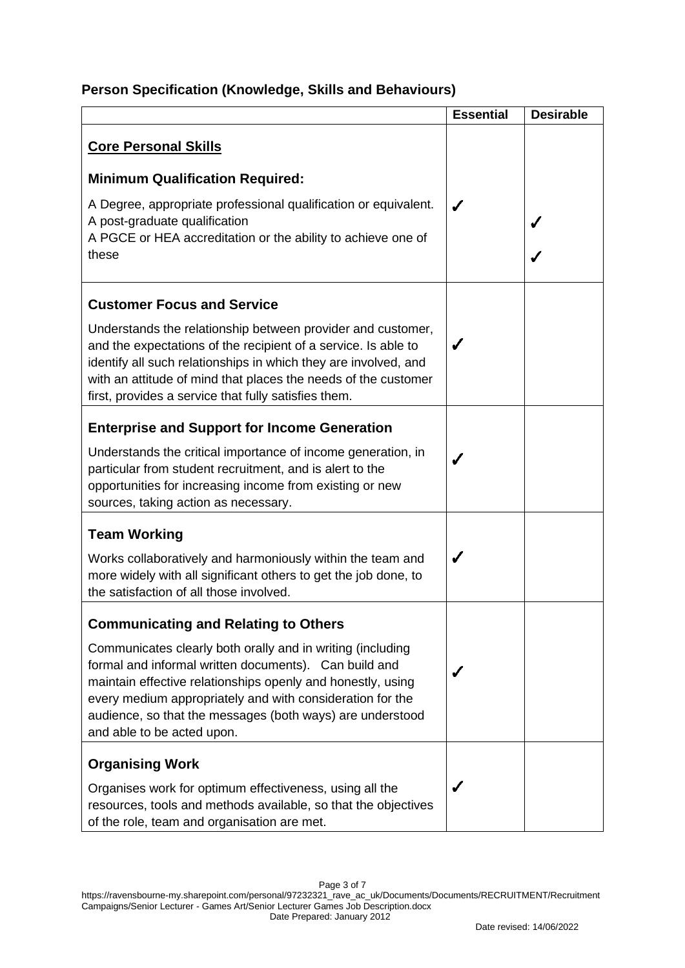## **Person Specification (Knowledge, Skills and Behaviours)**

|                                                                                                                                                                                                                                                                                                                                            | <b>Essential</b> | <b>Desirable</b> |
|--------------------------------------------------------------------------------------------------------------------------------------------------------------------------------------------------------------------------------------------------------------------------------------------------------------------------------------------|------------------|------------------|
| <b>Core Personal Skills</b>                                                                                                                                                                                                                                                                                                                |                  |                  |
| <b>Minimum Qualification Required:</b>                                                                                                                                                                                                                                                                                                     |                  |                  |
| A Degree, appropriate professional qualification or equivalent.<br>A post-graduate qualification<br>A PGCE or HEA accreditation or the ability to achieve one of<br>these                                                                                                                                                                  |                  |                  |
| <b>Customer Focus and Service</b>                                                                                                                                                                                                                                                                                                          |                  |                  |
| Understands the relationship between provider and customer,<br>and the expectations of the recipient of a service. Is able to<br>identify all such relationships in which they are involved, and<br>with an attitude of mind that places the needs of the customer<br>first, provides a service that fully satisfies them.                 |                  |                  |
| <b>Enterprise and Support for Income Generation</b>                                                                                                                                                                                                                                                                                        |                  |                  |
| Understands the critical importance of income generation, in<br>particular from student recruitment, and is alert to the<br>opportunities for increasing income from existing or new<br>sources, taking action as necessary.                                                                                                               |                  |                  |
| <b>Team Working</b>                                                                                                                                                                                                                                                                                                                        |                  |                  |
| Works collaboratively and harmoniously within the team and<br>more widely with all significant others to get the job done, to<br>the satisfaction of all those involved.                                                                                                                                                                   | ✔                |                  |
| <b>Communicating and Relating to Others</b>                                                                                                                                                                                                                                                                                                |                  |                  |
| Communicates clearly both orally and in writing (including<br>formal and informal written documents). Can build and<br>maintain effective relationships openly and honestly, using<br>every medium appropriately and with consideration for the<br>audience, so that the messages (both ways) are understood<br>and able to be acted upon. |                  |                  |
| <b>Organising Work</b>                                                                                                                                                                                                                                                                                                                     |                  |                  |
| Organises work for optimum effectiveness, using all the<br>resources, tools and methods available, so that the objectives<br>of the role, team and organisation are met.                                                                                                                                                                   | J                |                  |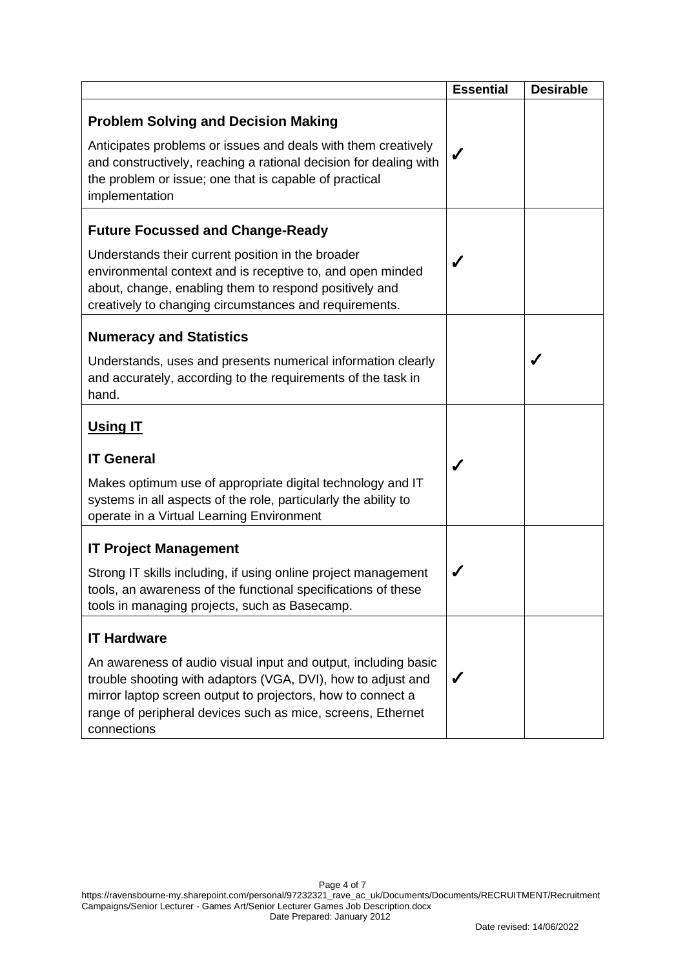|                                                                                                                                                                                                                                                                             | <b>Essential</b> | <b>Desirable</b> |
|-----------------------------------------------------------------------------------------------------------------------------------------------------------------------------------------------------------------------------------------------------------------------------|------------------|------------------|
| <b>Problem Solving and Decision Making</b><br>Anticipates problems or issues and deals with them creatively                                                                                                                                                                 |                  |                  |
| and constructively, reaching a rational decision for dealing with<br>the problem or issue; one that is capable of practical<br>implementation                                                                                                                               |                  |                  |
| <b>Future Focussed and Change-Ready</b>                                                                                                                                                                                                                                     |                  |                  |
| Understands their current position in the broader<br>environmental context and is receptive to, and open minded<br>about, change, enabling them to respond positively and<br>creatively to changing circumstances and requirements.                                         |                  |                  |
| <b>Numeracy and Statistics</b>                                                                                                                                                                                                                                              |                  |                  |
| Understands, uses and presents numerical information clearly<br>and accurately, according to the requirements of the task in<br>hand.                                                                                                                                       |                  |                  |
| <b>Using IT</b>                                                                                                                                                                                                                                                             |                  |                  |
| <b>IT General</b>                                                                                                                                                                                                                                                           | J                |                  |
| Makes optimum use of appropriate digital technology and IT<br>systems in all aspects of the role, particularly the ability to<br>operate in a Virtual Learning Environment                                                                                                  |                  |                  |
| <b>IT Project Management</b>                                                                                                                                                                                                                                                |                  |                  |
| Strong IT skills including, if using online project management<br>tools, an awareness of the functional specifications of these<br>tools in managing projects, such as Basecamp.                                                                                            |                  |                  |
| <b>IT Hardware</b>                                                                                                                                                                                                                                                          |                  |                  |
| An awareness of audio visual input and output, including basic<br>trouble shooting with adaptors (VGA, DVI), how to adjust and<br>mirror laptop screen output to projectors, how to connect a<br>range of peripheral devices such as mice, screens, Ethernet<br>connections |                  |                  |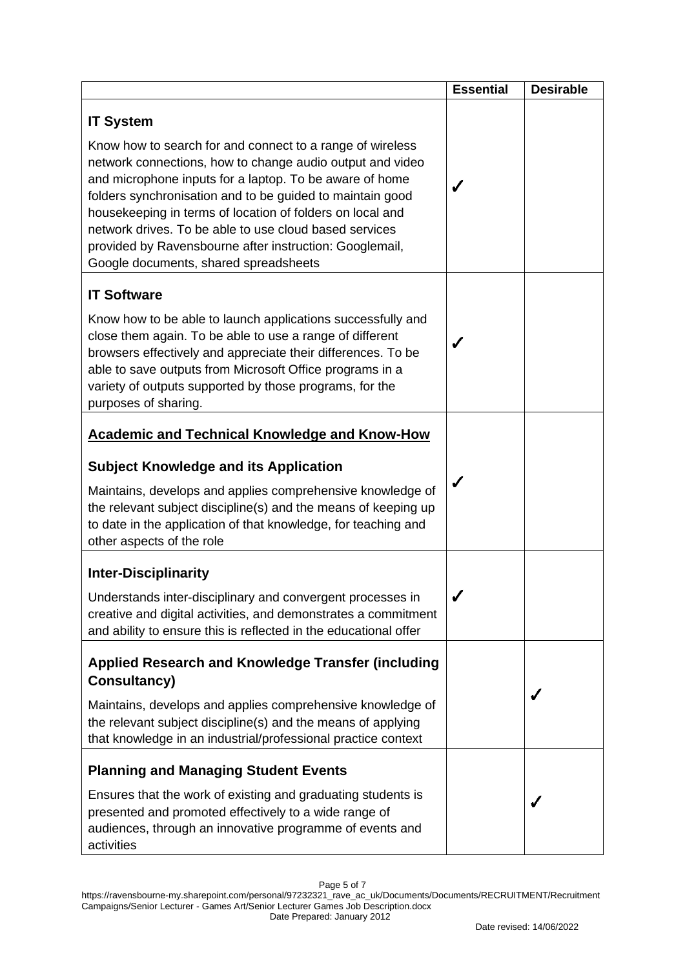|                                                                                                                                                                                                                                                                                                                                                                                                                                                                           | <b>Essential</b> | <b>Desirable</b> |
|---------------------------------------------------------------------------------------------------------------------------------------------------------------------------------------------------------------------------------------------------------------------------------------------------------------------------------------------------------------------------------------------------------------------------------------------------------------------------|------------------|------------------|
| <b>IT System</b>                                                                                                                                                                                                                                                                                                                                                                                                                                                          |                  |                  |
| Know how to search for and connect to a range of wireless<br>network connections, how to change audio output and video<br>and microphone inputs for a laptop. To be aware of home<br>folders synchronisation and to be guided to maintain good<br>housekeeping in terms of location of folders on local and<br>network drives. To be able to use cloud based services<br>provided by Ravensbourne after instruction: Googlemail,<br>Google documents, shared spreadsheets |                  |                  |
| <b>IT Software</b>                                                                                                                                                                                                                                                                                                                                                                                                                                                        |                  |                  |
| Know how to be able to launch applications successfully and<br>close them again. To be able to use a range of different<br>browsers effectively and appreciate their differences. To be<br>able to save outputs from Microsoft Office programs in a<br>variety of outputs supported by those programs, for the<br>purposes of sharing.                                                                                                                                    |                  |                  |
| <b>Academic and Technical Knowledge and Know-How</b>                                                                                                                                                                                                                                                                                                                                                                                                                      |                  |                  |
| <b>Subject Knowledge and its Application</b>                                                                                                                                                                                                                                                                                                                                                                                                                              |                  |                  |
| Maintains, develops and applies comprehensive knowledge of<br>the relevant subject discipline(s) and the means of keeping up<br>to date in the application of that knowledge, for teaching and<br>other aspects of the role                                                                                                                                                                                                                                               |                  |                  |
| <b>Inter-Disciplinarity</b>                                                                                                                                                                                                                                                                                                                                                                                                                                               |                  |                  |
| Understands inter-disciplinary and convergent processes in<br>creative and digital activities, and demonstrates a commitment<br>and ability to ensure this is reflected in the educational offer                                                                                                                                                                                                                                                                          |                  |                  |
| <b>Applied Research and Knowledge Transfer (including</b>                                                                                                                                                                                                                                                                                                                                                                                                                 |                  |                  |
| <b>Consultancy)</b>                                                                                                                                                                                                                                                                                                                                                                                                                                                       |                  |                  |
| Maintains, develops and applies comprehensive knowledge of<br>the relevant subject discipline(s) and the means of applying<br>that knowledge in an industrial/professional practice context                                                                                                                                                                                                                                                                               |                  |                  |
| <b>Planning and Managing Student Events</b>                                                                                                                                                                                                                                                                                                                                                                                                                               |                  |                  |
| Ensures that the work of existing and graduating students is<br>presented and promoted effectively to a wide range of<br>audiences, through an innovative programme of events and<br>activities                                                                                                                                                                                                                                                                           |                  |                  |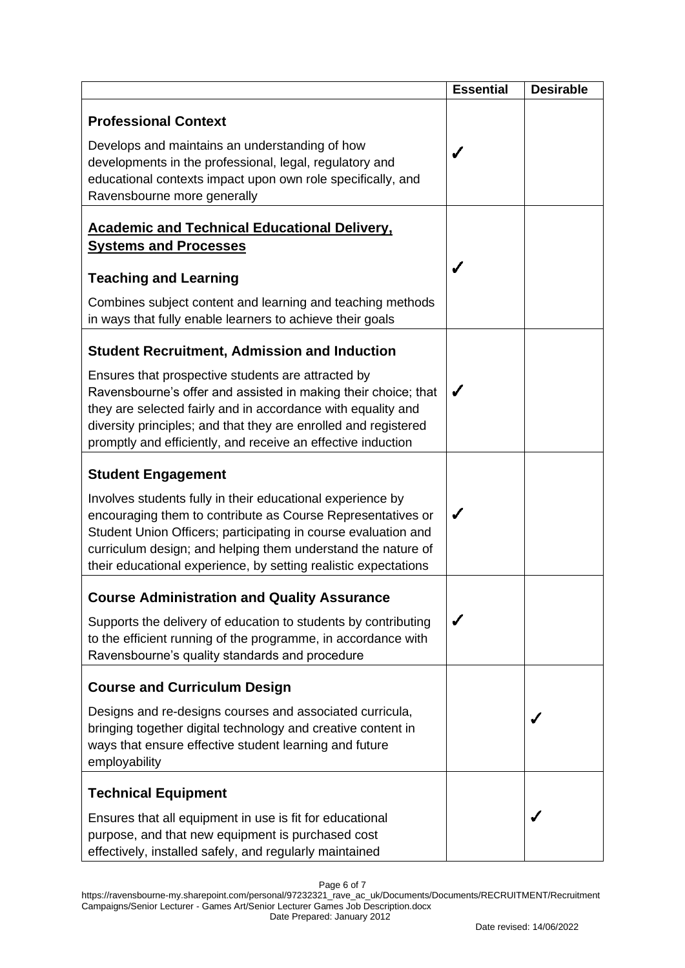|                                                                                                                                                                                                                                                                                                                                | <b>Essential</b> | <b>Desirable</b> |
|--------------------------------------------------------------------------------------------------------------------------------------------------------------------------------------------------------------------------------------------------------------------------------------------------------------------------------|------------------|------------------|
| <b>Professional Context</b>                                                                                                                                                                                                                                                                                                    |                  |                  |
| Develops and maintains an understanding of how<br>developments in the professional, legal, regulatory and<br>educational contexts impact upon own role specifically, and<br>Ravensbourne more generally                                                                                                                        |                  |                  |
| <b>Academic and Technical Educational Delivery,</b><br><b>Systems and Processes</b>                                                                                                                                                                                                                                            |                  |                  |
| <b>Teaching and Learning</b>                                                                                                                                                                                                                                                                                                   |                  |                  |
| Combines subject content and learning and teaching methods<br>in ways that fully enable learners to achieve their goals                                                                                                                                                                                                        |                  |                  |
| <b>Student Recruitment, Admission and Induction</b>                                                                                                                                                                                                                                                                            |                  |                  |
| Ensures that prospective students are attracted by<br>Ravensbourne's offer and assisted in making their choice; that<br>they are selected fairly and in accordance with equality and<br>diversity principles; and that they are enrolled and registered<br>promptly and efficiently, and receive an effective induction        | ✔                |                  |
| <b>Student Engagement</b>                                                                                                                                                                                                                                                                                                      |                  |                  |
| Involves students fully in their educational experience by<br>encouraging them to contribute as Course Representatives or<br>Student Union Officers; participating in course evaluation and<br>curriculum design; and helping them understand the nature of<br>their educational experience, by setting realistic expectations | J                |                  |
| <b>Course Administration and Quality Assurance</b>                                                                                                                                                                                                                                                                             |                  |                  |
| Supports the delivery of education to students by contributing<br>to the efficient running of the programme, in accordance with<br>Ravensbourne's quality standards and procedure                                                                                                                                              |                  |                  |
| <b>Course and Curriculum Design</b>                                                                                                                                                                                                                                                                                            |                  |                  |
| Designs and re-designs courses and associated curricula,<br>bringing together digital technology and creative content in<br>ways that ensure effective student learning and future<br>employability                                                                                                                            |                  |                  |
| <b>Technical Equipment</b>                                                                                                                                                                                                                                                                                                     |                  |                  |
| Ensures that all equipment in use is fit for educational<br>purpose, and that new equipment is purchased cost<br>effectively, installed safely, and regularly maintained                                                                                                                                                       |                  |                  |

Page 6 of 7

https://ravensbourne-my.sharepoint.com/personal/97232321\_rave\_ac\_uk/Documents/Documents/RECRUITMENT/Recruitment Campaigns/Senior Lecturer - Games Art/Senior Lecturer Games Job Description.docx Date Prepared: January 2012